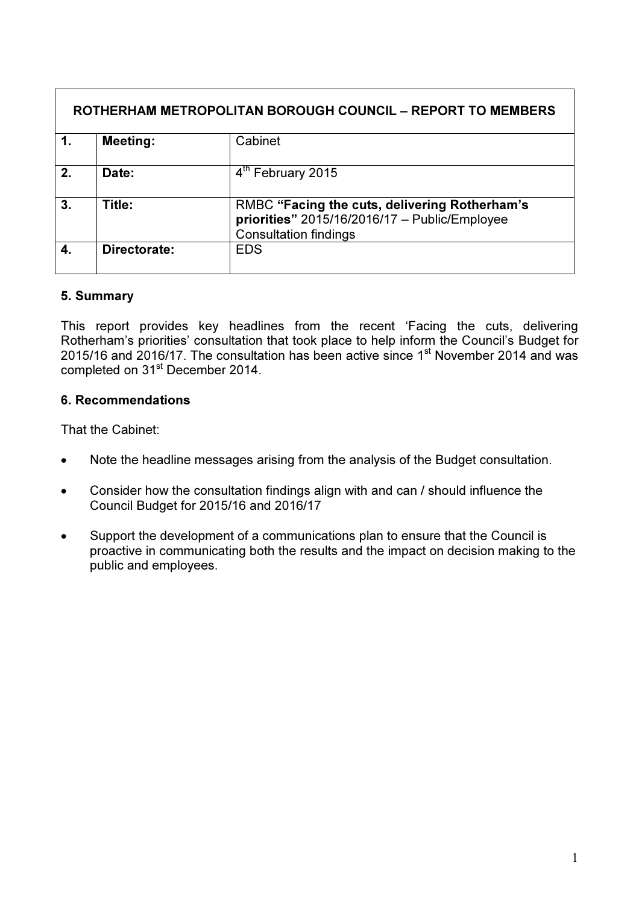| ROTHERHAM METROPOLITAN BOROUGH COUNCIL – REPORT TO MEMBERS |                 |                                                                                                                                |
|------------------------------------------------------------|-----------------|--------------------------------------------------------------------------------------------------------------------------------|
| $\mathbf 1$ .                                              | <b>Meeting:</b> | Cabinet                                                                                                                        |
| 2.                                                         | Date:           | 4th February 2015                                                                                                              |
| 3.                                                         | Title:          | RMBC "Facing the cuts, delivering Rotherham's<br>priorities" 2015/16/2016/17 - Public/Employee<br><b>Consultation findings</b> |
| $\boldsymbol{4}$                                           | Directorate:    | <b>EDS</b>                                                                                                                     |

### 5. Summary

This report provides key headlines from the recent 'Facing the cuts, delivering Rotherham's priorities' consultation that took place to help inform the Council's Budget for 2015/16 and 2016/17. The consultation has been active since 1<sup>st</sup> November 2014 and was completed on 31<sup>st</sup> December 2014.

### 6. Recommendations

That the Cabinet:

- Note the headline messages arising from the analysis of the Budget consultation.
- Consider how the consultation findings align with and can / should influence the Council Budget for 2015/16 and 2016/17
- Support the development of a communications plan to ensure that the Council is proactive in communicating both the results and the impact on decision making to the public and employees.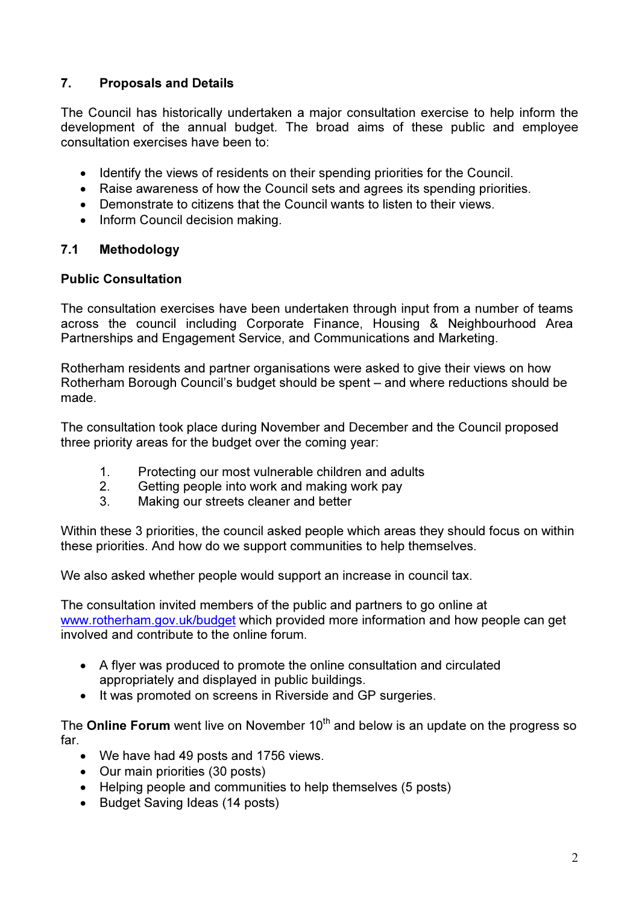# 7. Proposals and Details

The Council has historically undertaken a major consultation exercise to help inform the development of the annual budget. The broad aims of these public and employee consultation exercises have been to:

- Identify the views of residents on their spending priorities for the Council.
- Raise awareness of how the Council sets and agrees its spending priorities.
- Demonstrate to citizens that the Council wants to listen to their views.
- Inform Council decision making.

### 7.1 Methodology

### Public Consultation

The consultation exercises have been undertaken through input from a number of teams across the council including Corporate Finance, Housing & Neighbourhood Area Partnerships and Engagement Service, and Communications and Marketing.

Rotherham residents and partner organisations were asked to give their views on how Rotherham Borough Council's budget should be spent – and where reductions should be made.

The consultation took place during November and December and the Council proposed three priority areas for the budget over the coming year:

- 1. Protecting our most vulnerable children and adults
- 2. Getting people into work and making work pay
- 3. Making our streets cleaner and better

Within these 3 priorities, the council asked people which areas they should focus on within these priorities. And how do we support communities to help themselves.

We also asked whether people would support an increase in council tax.

The consultation invited members of the public and partners to go online at www.rotherham.gov.uk/budget which provided more information and how people can get involved and contribute to the online forum.

- A flyer was produced to promote the online consultation and circulated appropriately and displayed in public buildings.
- It was promoted on screens in Riverside and GP surgeries.

The **Online Forum** went live on November  $10<sup>th</sup>$  and below is an update on the progress so far.

- We have had 49 posts and 1756 views.
- Our main priorities (30 posts)
- Helping people and communities to help themselves (5 posts)
- Budget Saving Ideas (14 posts)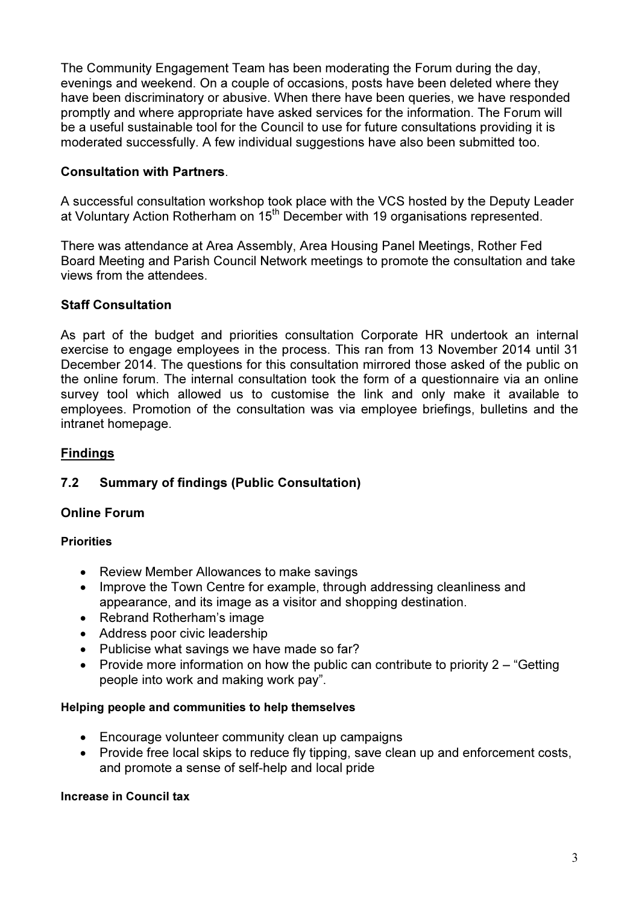The Community Engagement Team has been moderating the Forum during the day, evenings and weekend. On a couple of occasions, posts have been deleted where they have been discriminatory or abusive. When there have been queries, we have responded promptly and where appropriate have asked services for the information. The Forum will be a useful sustainable tool for the Council to use for future consultations providing it is moderated successfully. A few individual suggestions have also been submitted too.

## Consultation with Partners.

A successful consultation workshop took place with the VCS hosted by the Deputy Leader at Voluntary Action Rotherham on 15<sup>th</sup> December with 19 organisations represented.

There was attendance at Area Assembly, Area Housing Panel Meetings, Rother Fed Board Meeting and Parish Council Network meetings to promote the consultation and take views from the attendees.

## Staff Consultation

As part of the budget and priorities consultation Corporate HR undertook an internal exercise to engage employees in the process. This ran from 13 November 2014 until 31 December 2014. The questions for this consultation mirrored those asked of the public on the online forum. The internal consultation took the form of a questionnaire via an online survey tool which allowed us to customise the link and only make it available to employees. Promotion of the consultation was via employee briefings, bulletins and the intranet homepage.

## Findings

## 7.2 Summary of findings (Public Consultation)

### Online Forum

### **Priorities**

- Review Member Allowances to make savings
- Improve the Town Centre for example, through addressing cleanliness and appearance, and its image as a visitor and shopping destination.
- Rebrand Rotherham's image
- Address poor civic leadership
- Publicise what savings we have made so far?
- Provide more information on how the public can contribute to priority 2 "Getting" people into work and making work pay".

### Helping people and communities to help themselves

- Encourage volunteer community clean up campaigns
- Provide free local skips to reduce fly tipping, save clean up and enforcement costs, and promote a sense of self-help and local pride

#### Increase in Council tax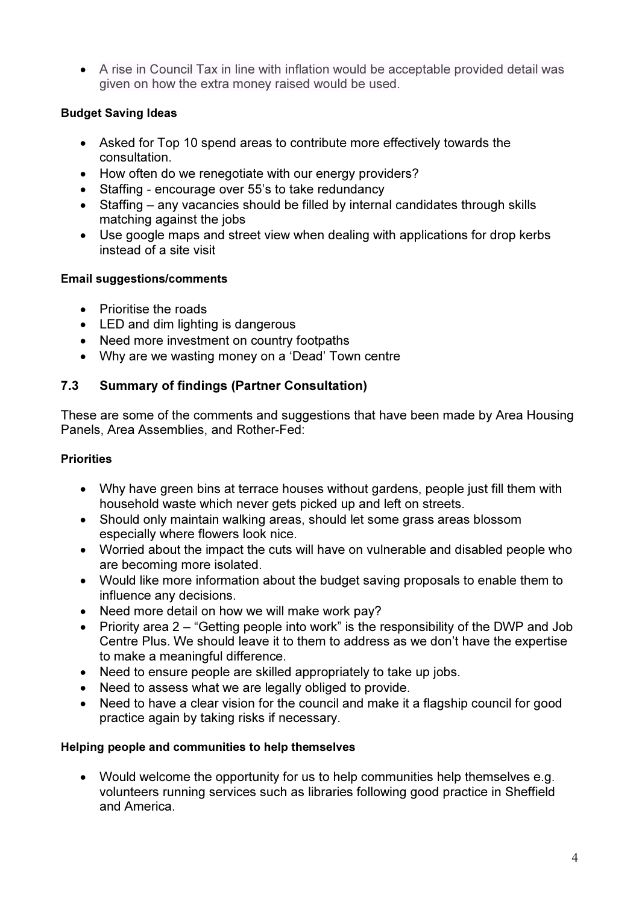• A rise in Council Tax in line with inflation would be acceptable provided detail was given on how the extra money raised would be used.

## Budget Saving Ideas

- Asked for Top 10 spend areas to contribute more effectively towards the consultation.
- How often do we renegotiate with our energy providers?
- Staffing encourage over 55's to take redundancy
- Staffing any vacancies should be filled by internal candidates through skills matching against the jobs
- Use google maps and street view when dealing with applications for drop kerbs instead of a site visit

## Email suggestions/comments

- Prioritise the roads
- LED and dim lighting is dangerous
- Need more investment on country footpaths
- Why are we wasting money on a 'Dead' Town centre

# 7.3 Summary of findings (Partner Consultation)

These are some of the comments and suggestions that have been made by Area Housing Panels, Area Assemblies, and Rother-Fed:

## **Priorities**

- Why have green bins at terrace houses without gardens, people just fill them with household waste which never gets picked up and left on streets.
- Should only maintain walking areas, should let some grass areas blossom especially where flowers look nice.
- Worried about the impact the cuts will have on vulnerable and disabled people who are becoming more isolated.
- Would like more information about the budget saving proposals to enable them to influence any decisions.
- Need more detail on how we will make work pay?
- Priority area 2 "Getting people into work" is the responsibility of the DWP and Job Centre Plus. We should leave it to them to address as we don't have the expertise to make a meaningful difference.
- Need to ensure people are skilled appropriately to take up jobs.
- Need to assess what we are legally obliged to provide.
- Need to have a clear vision for the council and make it a flagship council for good practice again by taking risks if necessary.

### Helping people and communities to help themselves

• Would welcome the opportunity for us to help communities help themselves e.g. volunteers running services such as libraries following good practice in Sheffield and America.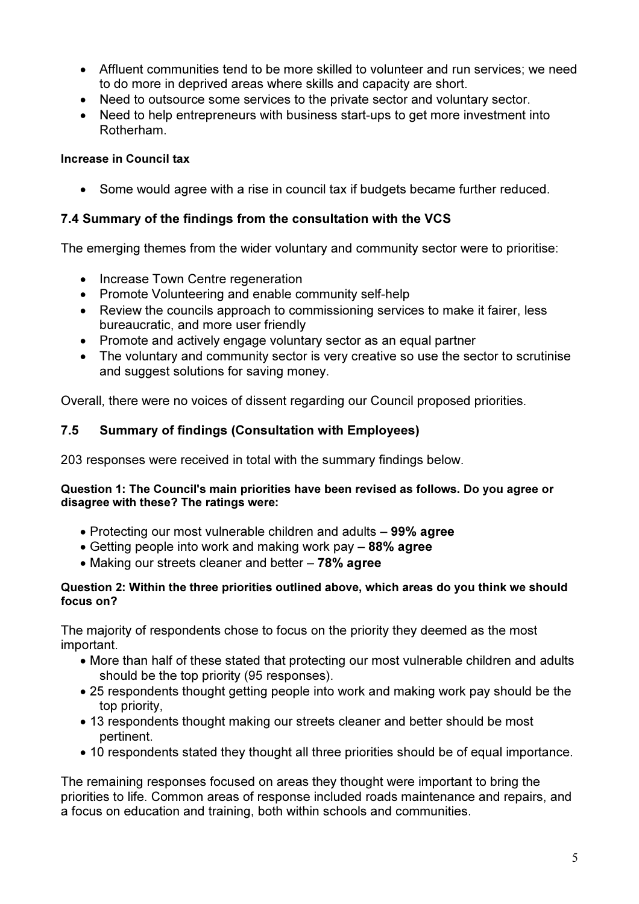- Affluent communities tend to be more skilled to volunteer and run services; we need to do more in deprived areas where skills and capacity are short.
- Need to outsource some services to the private sector and voluntary sector.
- Need to help entrepreneurs with business start-ups to get more investment into Rotherham.

## Increase in Council tax

• Some would agree with a rise in council tax if budgets became further reduced.

# 7.4 Summary of the findings from the consultation with the VCS

The emerging themes from the wider voluntary and community sector were to prioritise:

- Increase Town Centre regeneration
- Promote Volunteering and enable community self-help
- Review the councils approach to commissioning services to make it fairer, less bureaucratic, and more user friendly
- Promote and actively engage voluntary sector as an equal partner
- The voluntary and community sector is very creative so use the sector to scrutinise and suggest solutions for saving money.

Overall, there were no voices of dissent regarding our Council proposed priorities.

# 7.5 Summary of findings (Consultation with Employees)

203 responses were received in total with the summary findings below.

### Question 1: The Council's main priorities have been revised as follows. Do you agree or disagree with these? The ratings were:

- Protecting our most vulnerable children and adults 99% agree
- Getting people into work and making work pay 88% agree
- Making our streets cleaner and better 78% agree

### Question 2: Within the three priorities outlined above, which areas do you think we should focus on?

The majority of respondents chose to focus on the priority they deemed as the most important.

- More than half of these stated that protecting our most vulnerable children and adults should be the top priority (95 responses).
- 25 respondents thought getting people into work and making work pay should be the top priority,
- 13 respondents thought making our streets cleaner and better should be most pertinent.
- 10 respondents stated they thought all three priorities should be of equal importance.

The remaining responses focused on areas they thought were important to bring the priorities to life. Common areas of response included roads maintenance and repairs, and a focus on education and training, both within schools and communities.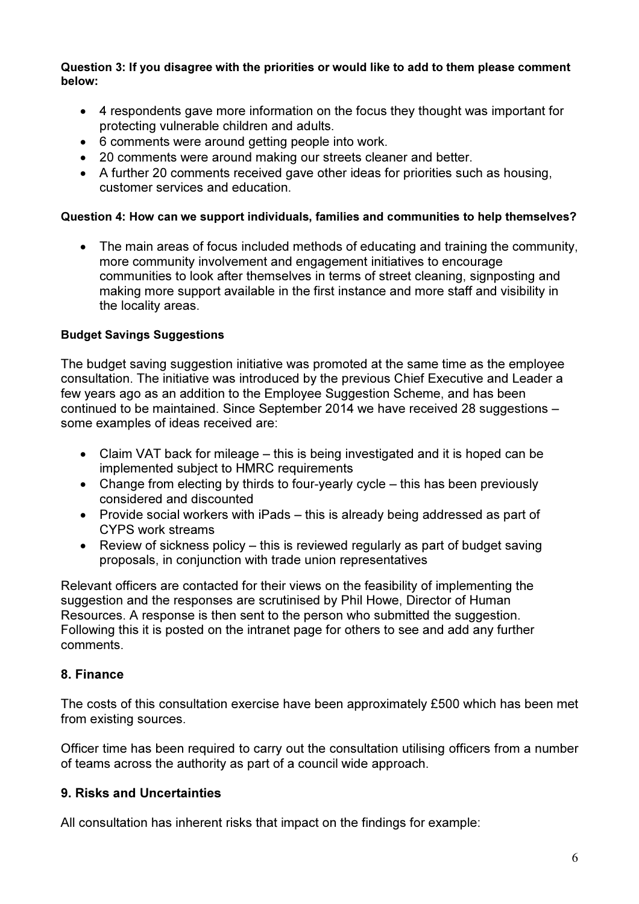Question 3: If you disagree with the priorities or would like to add to them please comment below:

- 4 respondents gave more information on the focus they thought was important for protecting vulnerable children and adults.
- 6 comments were around getting people into work.
- 20 comments were around making our streets cleaner and better.
- A further 20 comments received gave other ideas for priorities such as housing, customer services and education.

### Question 4: How can we support individuals, families and communities to help themselves?

• The main areas of focus included methods of educating and training the community, more community involvement and engagement initiatives to encourage communities to look after themselves in terms of street cleaning, signposting and making more support available in the first instance and more staff and visibility in the locality areas.

### Budget Savings Suggestions

The budget saving suggestion initiative was promoted at the same time as the employee consultation. The initiative was introduced by the previous Chief Executive and Leader a few years ago as an addition to the Employee Suggestion Scheme, and has been continued to be maintained. Since September 2014 we have received 28 suggestions – some examples of ideas received are:

- Claim VAT back for mileage this is being investigated and it is hoped can be implemented subject to HMRC requirements
- Change from electing by thirds to four-yearly cycle this has been previously considered and discounted
- Provide social workers with iPads this is already being addressed as part of CYPS work streams
- Review of sickness policy this is reviewed regularly as part of budget saving proposals, in conjunction with trade union representatives

Relevant officers are contacted for their views on the feasibility of implementing the suggestion and the responses are scrutinised by Phil Howe, Director of Human Resources. A response is then sent to the person who submitted the suggestion. Following this it is posted on the intranet page for others to see and add any further comments.

## 8. Finance

The costs of this consultation exercise have been approximately £500 which has been met from existing sources.

Officer time has been required to carry out the consultation utilising officers from a number of teams across the authority as part of a council wide approach.

### 9. Risks and Uncertainties

All consultation has inherent risks that impact on the findings for example: